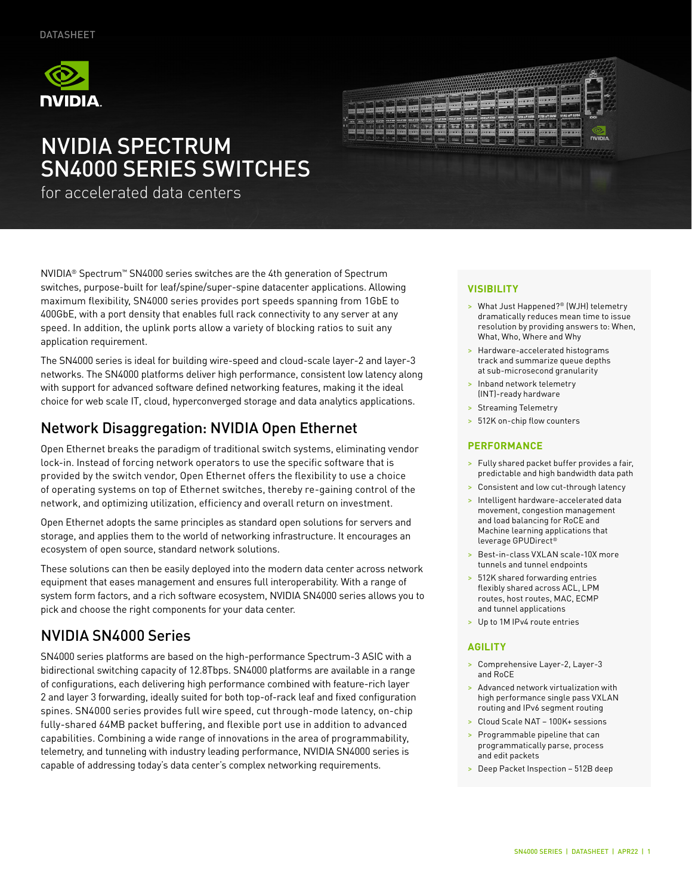

# NVIDIA SPECTRUM SN4000 SERIES SWITCHES

for accelerated data centers

NVIDIA® Spectrum™ SN4000 series switches are the 4th generation of Spectrum switches, purpose-built for leaf/spine/super-spine datacenter applications. Allowing maximum flexibility, SN4000 series provides port speeds spanning from 1GbE to 400GbE, with a port density that enables full rack connectivity to any server at any speed. In addition, the uplink ports allow a variety of blocking ratios to suit any application requirement.

The SN4000 series is ideal for building wire-speed and cloud-scale layer-2 and layer-3 networks. The SN4000 platforms deliver high performance, consistent low latency along with support for advanced software defined networking features, making it the ideal choice for web scale IT, cloud, hyperconverged storage and data analytics applications.

## Network Disaggregation: NVIDIA Open Ethernet

Open Ethernet breaks the paradigm of traditional switch systems, eliminating vendor lock-in. Instead of forcing network operators to use the specific software that is provided by the switch vendor, Open Ethernet offers the flexibility to use a choice of operating systems on top of Ethernet switches, thereby re-gaining control of the network, and optimizing utilization, efficiency and overall return on investment.

Open Ethernet adopts the same principles as standard open solutions for servers and storage, and applies them to the world of networking infrastructure. It encourages an ecosystem of open source, standard network solutions.

These solutions can then be easily deployed into the modern data center across network equipment that eases management and ensures full interoperability. With a range of system form factors, and a rich software ecosystem, NVIDIA SN4000 series allows you to pick and choose the right components for your data center.

## NVIDIA SN4000 Series

SN4000 series platforms are based on the high-performance Spectrum-3 ASIC with a bidirectional switching capacity of 12.8Tbps. SN4000 platforms are available in a range of configurations, each delivering high performance combined with feature-rich layer 2 and layer 3 forwarding, ideally suited for both top-of-rack leaf and fixed configuration spines. SN4000 series provides full wire speed, cut through-mode latency, on-chip fully-shared 64MB packet buffering, and flexible port use in addition to advanced capabilities. Combining a wide range of innovations in the area of programmability, telemetry, and tunneling with industry leading performance, NVIDIA SN4000 series is capable of addressing today's data center's complex networking requirements.



#### **VISIBILITY**

- > What Just Happened?® (WJH) telemetry dramatically reduces mean time to issue resolution by providing answers to: When, What, Who, Where and Why
- > Hardware-accelerated histograms track and summarize queue depths at sub-microsecond granularity
- > Inband network telemetry (INT)-ready hardware
- > Streaming Telemetry
- > 512K on-chip flow counters

#### **PERFORMANCE**

- > Fully shared packet buffer provides a fair, predictable and high bandwidth data path
- > Consistent and low cut-through latency
- > Intelligent hardware-accelerated data movement, congestion management and load balancing for RoCE and Machine learning applications that leverage GPUDirect®
- > Best-in-class VXLAN scale-10X more tunnels and tunnel endpoints
- > 512K shared forwarding entries flexibly shared across ACL, LPM routes, host routes, MAC, ECMP and tunnel applications
- > Up to 1M IPv4 route entries

#### **AGILITY**

- > Comprehensive Layer-2, Layer-3 and RoCE
- > Advanced network virtualization with high performance single pass VXLAN routing and IPv6 segment routing
- > Cloud Scale NAT 100K+ sessions
- > Programmable pipeline that can programmatically parse, process and edit packets
- > Deep Packet Inspection 512B deep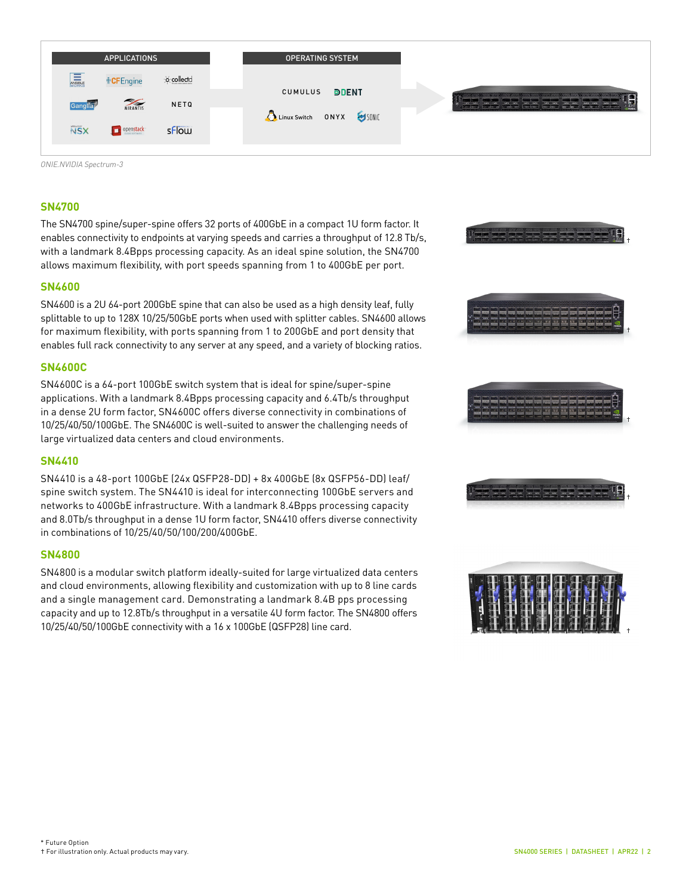| <b>APPLICATIONS</b>                                        | <b>OPERATING SYSTEM</b>  |                                                                   |
|------------------------------------------------------------|--------------------------|-------------------------------------------------------------------|
| ANSIBLE<br>WORKS<br>o collectd<br><b><i>⊪</i></b> CFEngine | <b>DDENT</b><br>CUMULUS  |                                                                   |
| <b>WIRANTIS</b><br>NETQ<br>Ganglia                         | Linux Switch ONYX USONIC | <b>EST</b><br><u>man </u><br>$-$<br>Committee of the Committee of |
| <b>NSX</b><br>sflow<br>openstack                           |                          |                                                                   |

*ONIE.NVIDIA Spectrum-3*

#### **SN4700**

The SN4700 spine/super-spine offers 32 ports of 400GbE in a compact 1U form factor. It enables connectivity to endpoints at varying speeds and carries a throughput of 12.8 Tb/s, with a landmark 8.4Bpps processing capacity. As an ideal spine solution, the SN4700 allows maximum flexibility, with port speeds spanning from 1 to 400GbE per port.

#### **SN4600**

SN4600 is a 2U 64-port 200GbE spine that can also be used as a high density leaf, fully splittable to up to 128X 10/25/50GbE ports when used with splitter cables. SN4600 allows for maximum flexibility, with ports spanning from 1 to 200GbE and port density that enables full rack connectivity to any server at any speed, and a variety of blocking ratios.

#### **SN4600C**

SN4600C is a 64-port 100GbE switch system that is ideal for spine/super-spine applications. With a landmark 8.4Bpps processing capacity and 6.4Tb/s throughput in a dense 2U form factor, SN4600C offers diverse connectivity in combinations of 10/25/40/50/100GbE. The SN4600C is well-suited to answer the challenging needs of large virtualized data centers and cloud environments.

#### **SN4410**

SN4410 is a 48-port 100GbE (24x QSFP28-DD) + 8x 400GbE (8x QSFP56-DD) leaf/ spine switch system. The SN4410 is ideal for interconnecting 100GbE servers and networks to 400GbE infrastructure. With a landmark 8.4Bpps processing capacity and 8.0Tb/s throughput in a dense 1U form factor, SN4410 offers diverse connectivity in combinations of 10/25/40/50/100/200/400GbE.

#### **SN4800**

SN4800 is a modular switch platform ideally-suited for large virtualized data centers and cloud environments, allowing flexibility and customization with up to 8 line cards and a single management card. Demonstrating a landmark 8.4B pps processing capacity and up to 12.8Tb/s throughput in a versatile 4U form factor. The SN4800 offers 10/25/40/50/100GbE connectivity with a 16 x 100GbE (QSFP28) line card.

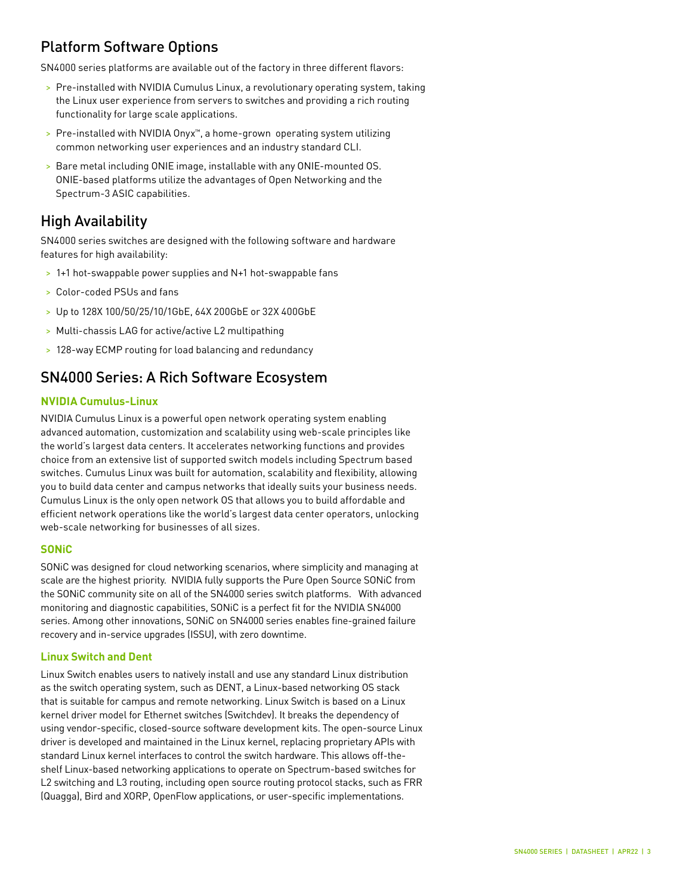## Platform Software Options

SN4000 series platforms are available out of the factory in three different flavors:

- > Pre-installed with NVIDIA Cumulus Linux, a revolutionary operating system, taking the Linux user experience from servers to switches and providing a rich routing functionality for large scale applications.
- > Pre-installed with NVIDIA Onyx™, a home-grown operating system utilizing common networking user experiences and an industry standard CLI.
- > Bare metal including ONIE image, installable with any ONIE-mounted OS. ONIE-based platforms utilize the advantages of Open Networking and the Spectrum-3 ASIC capabilities.

### High Availability

SN4000 series switches are designed with the following software and hardware features for high availability:

- > 1+1 hot-swappable power supplies and N+1 hot-swappable fans
- > Color-coded PSUs and fans
- > Up to 128X 100/50/25/10/1GbE, 64X 200GbE or 32X 400GbE
- > Multi-chassis LAG for active/active L2 multipathing
- > 128-way ECMP routing for load balancing and redundancy

### SN4000 Series: A Rich Software Ecosystem

#### **NVIDIA Cumulus-Linux**

NVIDIA Cumulus Linux is a powerful open network operating system enabling advanced automation, customization and scalability using web-scale principles like the world's largest data centers. It accelerates networking functions and provides choice from an extensive list of supported switch models including Spectrum based switches. Cumulus Linux was built for automation, scalability and flexibility, allowing you to build data center and campus networks that ideally suits your business needs. Cumulus Linux is the only open network OS that allows you to build affordable and efficient network operations like the world's largest data center operators, unlocking web-scale networking for businesses of all sizes.

#### **SONiC**

SONiC was designed for cloud networking scenarios, where simplicity and managing at scale are the highest priority. NVIDIA fully supports the Pure Open Source SONiC from the SONiC community site on all of the SN4000 series switch platforms. With advanced monitoring and diagnostic capabilities, SONiC is a perfect fit for the NVIDIA SN4000 series. Among other innovations, SONiC on SN4000 series enables fine-grained failure recovery and in-service upgrades (ISSU), with zero downtime.

#### **Linux Switch and Dent**

Linux Switch enables users to natively install and use any standard Linux distribution as the switch operating system, such as DENT, a Linux-based networking OS stack that is suitable for campus and remote networking. Linux Switch is based on a Linux kernel driver model for Ethernet switches (Switchdev). It breaks the dependency of using vendor-specific, closed-source software development kits. The open-source Linux driver is developed and maintained in the Linux kernel, replacing proprietary APIs with standard Linux kernel interfaces to control the switch hardware. This allows off-theshelf Linux-based networking applications to operate on Spectrum-based switches for L2 switching and L3 routing, including open source routing protocol stacks, such as FRR (Quagga), Bird and XORP, OpenFlow applications, or user-specific implementations.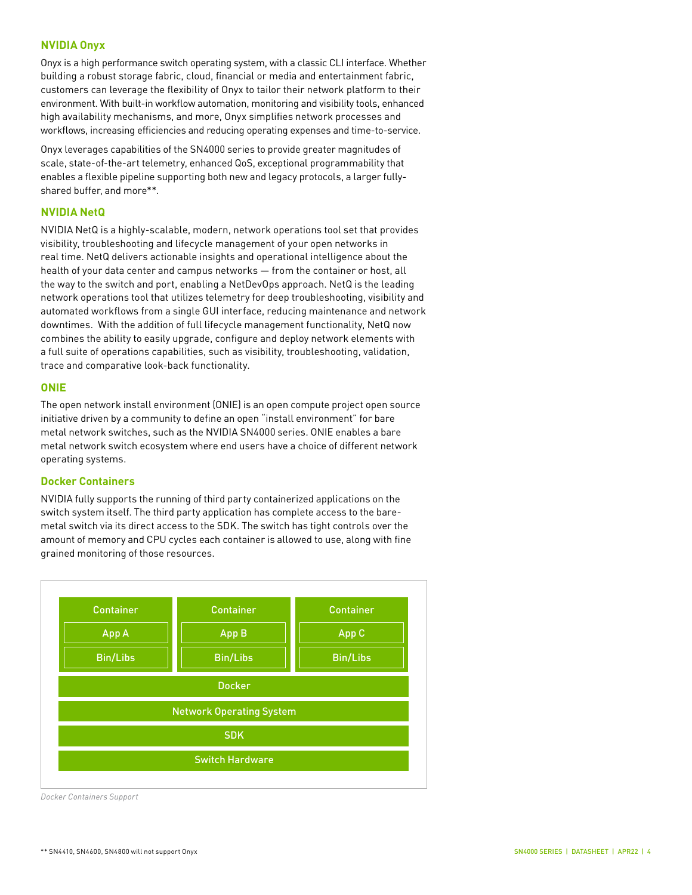#### **NVIDIA Onyx**

Onyx is a high performance switch operating system, with a classic CLI interface. Whether building a robust storage fabric, cloud, financial or media and entertainment fabric, customers can leverage the flexibility of Onyx to tailor their network platform to their environment. With built-in workflow automation, monitoring and visibility tools, enhanced high availability mechanisms, and more, Onyx simplifies network processes and workflows, increasing efficiencies and reducing operating expenses and time-to-service.

Onyx leverages capabilities of the SN4000 series to provide greater magnitudes of scale, state-of-the-art telemetry, enhanced QoS, exceptional programmability that enables a flexible pipeline supporting both new and legacy protocols, a larger fullyshared buffer, and more\*\*.

#### **NVIDIA NetQ**

NVIDIA NetQ is a highly-scalable, modern, network operations tool set that provides visibility, troubleshooting and lifecycle management of your open networks in real time. NetQ delivers actionable insights and operational intelligence about the health of your data center and campus networks — from the container or host, all the way to the switch and port, enabling a NetDevOps approach. NetQ is the leading network operations tool that utilizes telemetry for deep troubleshooting, visibility and automated workflows from a single GUI interface, reducing maintenance and network downtimes. With the addition of full lifecycle management functionality, NetQ now combines the ability to easily upgrade, configure and deploy network elements with a full suite of operations capabilities, such as visibility, troubleshooting, validation, trace and comparative look-back functionality.

#### **ONIE**

The open network install environment (ONIE) is an open compute project open source initiative driven by a community to define an open "install environment" for bare metal network switches, such as the NVIDIA SN4000 series. ONIE enables a bare metal network switch ecosystem where end users have a choice of different network operating systems.

#### **Docker Containers**

NVIDIA fully supports the running of third party containerized applications on the switch system itself. The third party application has complete access to the baremetal switch via its direct access to the SDK. The switch has tight controls over the amount of memory and CPU cycles each container is allowed to use, along with fine grained monitoring of those resources.



*Docker Containers Support*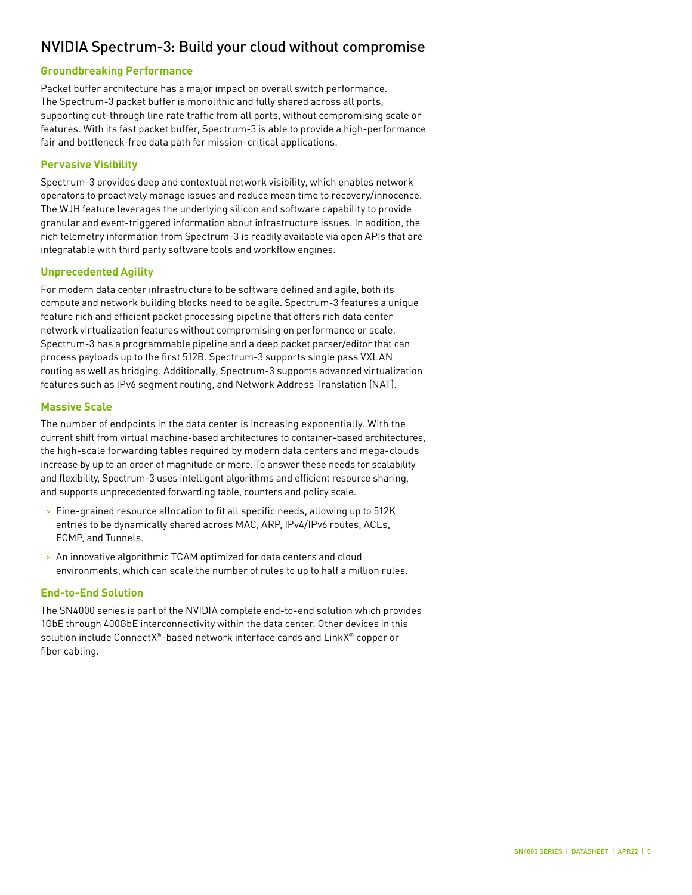## NVIDIA Spectrum-3: Build your cloud without compromise

#### **Groundbreaking Performance**

Packet buffer architecture has a major impact on overall switch performance. The Spectrum-3 packet buffer is monolithic and fully shared across all ports, supporting cut-through line rate traffic from all ports, without compromising scale or features. With its fast packet buffer, Spectrum-3 is able to provide a high-performance fair and bottleneck-free data path for mission-critical applications.

#### **Pervasive Visibility**

Spectrum-3 provides deep and contextual network visibility, which enables network operators to proactively manage issues and reduce mean time to recovery/innocence. The WJH feature leverages the underlying silicon and software capability to provide granular and event-triggered information about infrastructure issues. In addition, the rich telemetry information from Spectrum-3 is readily available via open APIs that are integratable with third party software tools and workflow engines.

#### **Unprecedented Agility**

For modern data center infrastructure to be software defined and agile, both its compute and network building blocks need to be agile. Spectrum-3 features a unique feature rich and efficient packet processing pipeline that offers rich data center network virtualization features without compromising on performance or scale. Spectrum-3 has a programmable pipeline and a deep packet parser/editor that can process payloads up to the first 512B. Spectrum-3 supports single pass VXLAN routing as well as bridging. Additionally, Spectrum-3 supports advanced virtualization features such as IPv6 segment routing, and Network Address Translation (NAT).

#### **Massive Scale**

The number of endpoints in the data center is increasing exponentially. With the current shift from virtual machine-based architectures to container-based architectures, the high-scale forwarding tables required by modern data centers and mega-clouds increase by up to an order of magnitude or more. To answer these needs for scalability and flexibility, Spectrum-3 uses intelligent algorithms and efficient resource sharing, and supports unprecedented forwarding table, counters and policy scale.

- > Fine-grained resource allocation to fit all specific needs, allowing up to 512K entries to be dynamically shared across MAC, ARP, IPv4/IPv6 routes, ACLs, ECMP, and Tunnels.
- > An innovative algorithmic TCAM optimized for data centers and cloud environments, which can scale the number of rules to up to half a million rules.

#### **End-to-End Solution**

The SN4000 series is part of the NVIDIA complete end-to-end solution which provides 1GbE through 400GbE interconnectivity within the data center. Other devices in this solution include ConnectX®-based network interface cards and LinkX® copper or fiber cabling.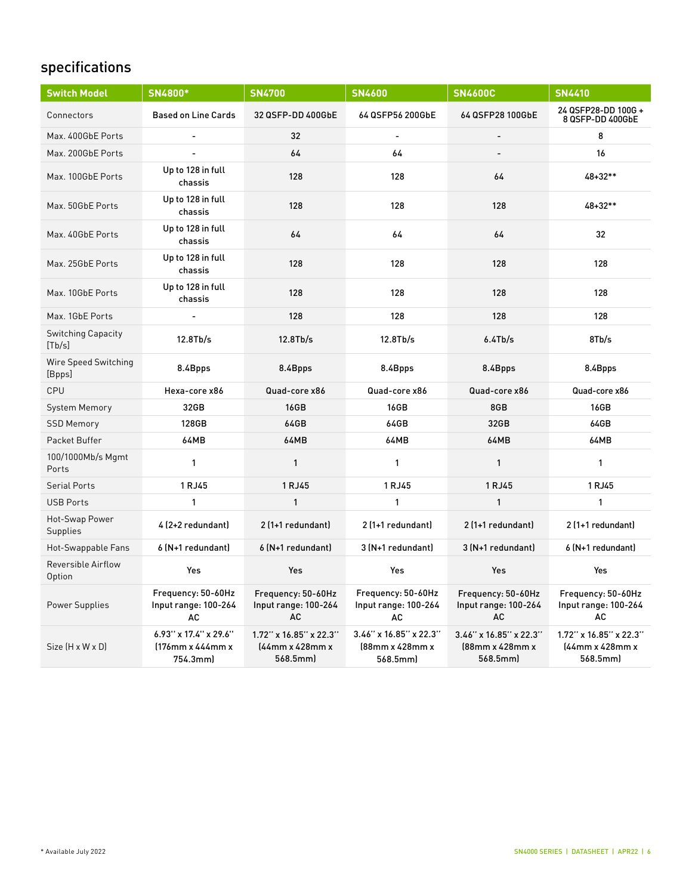## specifications

| <b>Switch Model</b>                 | SN4800*                                               | <b>SN4700</b>                                         | <b>SN4600</b>                                         | <b>SN4600C</b>                                        | <b>SN4410</b>                                         |
|-------------------------------------|-------------------------------------------------------|-------------------------------------------------------|-------------------------------------------------------|-------------------------------------------------------|-------------------------------------------------------|
| Connectors                          | <b>Based on Line Cards</b>                            | 32 QSFP-DD 400GbE                                     | 64 QSFP56 200GbE                                      | 64 QSFP28 100GbE                                      | 24 QSFP28-DD 100G +<br>8 QSFP-DD 400GbE               |
| Max. 400GbE Ports                   |                                                       | 32                                                    | $\blacksquare$                                        | $\blacksquare$                                        | 8                                                     |
| Max. 200GbE Ports                   |                                                       | 64                                                    | 64                                                    |                                                       | 16                                                    |
| Max. 100GbE Ports                   | Up to 128 in full<br>chassis                          | 128                                                   | 128                                                   | 64                                                    | 48+32**                                               |
| Max. 50GbE Ports                    | Up to 128 in full<br>chassis                          | 128                                                   | 128                                                   | 128                                                   | 48+32**                                               |
| Max. 40GbE Ports                    | Up to 128 in full<br>chassis                          | 64                                                    | 64                                                    | 64                                                    | 32                                                    |
| Max. 25GbE Ports                    | Up to 128 in full<br>chassis                          | 128                                                   | 128                                                   | 128                                                   | 128                                                   |
| Max. 10GbE Ports                    | Up to 128 in full<br>chassis                          | 128                                                   | 128                                                   | 128                                                   | 128                                                   |
| Max. 1GbE Ports                     |                                                       | 128                                                   | 128                                                   | 128                                                   | 128                                                   |
| <b>Switching Capacity</b><br>[Tb/s] | 12.8Tb/s                                              | 12.8Tb/s                                              | 12.8Tb/s                                              | 6.4Tb/s                                               | 8Tb/s                                                 |
| Wire Speed Switching<br>[Bpps]      | 8.4Bpps                                               | 8.4Bpps                                               | 8.4Bpps                                               | 8.4Bpps                                               | 8.4Bpps                                               |
| CPU                                 | Hexa-core x86                                         | Quad-core x86                                         | Quad-core x86                                         | Quad-core x86                                         | Quad-core x86                                         |
| System Memory                       | 32GB                                                  | <b>16GB</b>                                           | 16GB                                                  | 8GB                                                   | <b>16GB</b>                                           |
| <b>SSD Memory</b>                   | 128GB                                                 | 64GB                                                  | 64GB                                                  | 32GB                                                  | 64GB                                                  |
| Packet Buffer                       | 64MB                                                  | <b>64MB</b>                                           | 64MB                                                  | <b>64MB</b>                                           | 64MB                                                  |
| 100/1000Mb/s Mgmt<br>Ports          | $\mathbf{1}$                                          | $\mathbf{1}$                                          | $\mathbf{1}$                                          | 1                                                     | $\mathbf{1}$                                          |
| <b>Serial Ports</b>                 | 1 RJ45                                                | 1 RJ45                                                | 1 RJ45                                                | 1 RJ45                                                | 1 RJ45                                                |
| <b>USB Ports</b>                    | $\mathbf{1}$                                          | $\mathbf{1}$                                          | $\mathbf{1}$                                          | $\mathbf{1}$                                          | $\mathbf{1}$                                          |
| Hot-Swap Power<br>Supplies          | 4 (2+2 redundant)                                     | 2 (1+1 redundant)                                     | 2 (1+1 redundant)                                     | 2 (1+1 redundant)                                     | 2 (1+1 redundant)                                     |
| Hot-Swappable Fans                  | 6 (N+1 redundant)                                     | 6 (N+1 redundant)                                     | 3 (N+1 redundant)                                     | 3 (N+1 redundant)                                     | 6 (N+1 redundant)                                     |
| Reversible Airflow<br>Option        | Yes                                                   | Yes                                                   | Yes                                                   | <b>Yes</b>                                            | Yes                                                   |
| <b>Power Supplies</b>               | Frequency: 50-60Hz<br>Input range: 100-264<br>AC      | Frequency: 50-60Hz<br>Input range: 100-264<br>AC      | Frequency: 50-60Hz<br>Input range: 100-264<br>AC      | Frequency: 50-60Hz<br>Input range: 100-264<br>AC      | Frequency: 50-60Hz<br>Input range: 100-264<br>AC      |
| Size (H x W x D)                    | 6.93" x 17.4" x 29.6"<br>(176mm x 444mm x<br>754.3mml | 1.72" x 16.85" x 22.3"<br>(44mm x 428mm x<br>568.5mml | 3.46" x 16.85" x 22.3"<br>(88mm x 428mm x<br>568.5mml | 3.46" x 16.85" x 22.3"<br>(88mm x 428mm x<br>568.5mml | 1.72" x 16.85" x 22.3"<br>(44mm x 428mm x<br>568.5mml |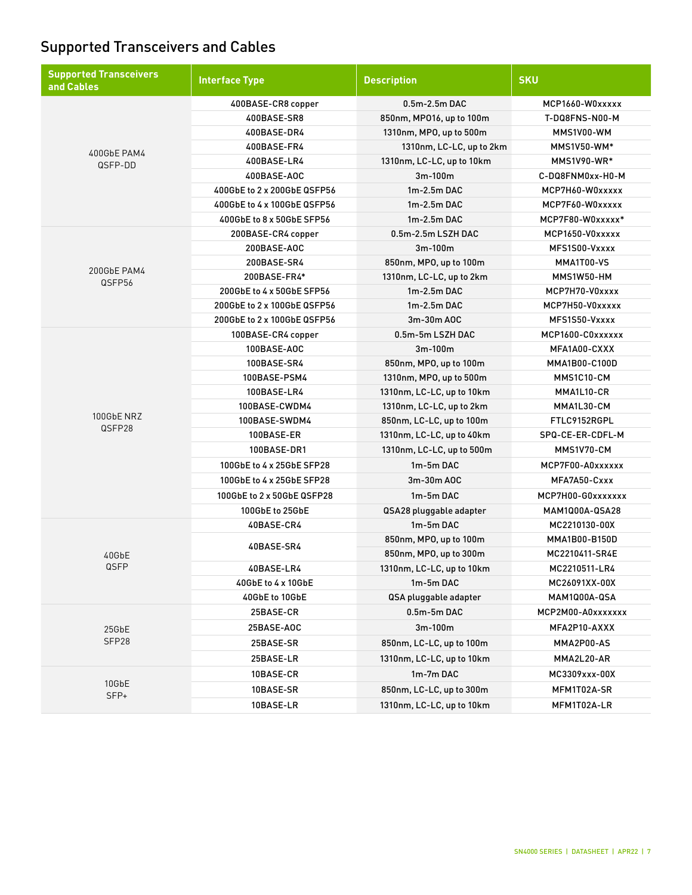## Supported Transceivers and Cables

| <b>Supported Transceivers</b><br>and Cables | <b>Interface Type</b>       | <b>Description</b>        | <b>SKU</b>        |
|---------------------------------------------|-----------------------------|---------------------------|-------------------|
|                                             | 400BASE-CR8 copper          | $0.5m-2.5m$ DAC           | MCP1660-W0xxxxx   |
|                                             | 400BASE-SR8                 | 850nm, MP016, up to 100m  | T-DQ8FNS-N00-M    |
|                                             | 400BASE-DR4                 | 1310nm, MPO, up to 500m   | MMS1V00-WM        |
|                                             | 400BASE-FR4                 | 1310nm, LC-LC, up to 2km  | MMS1V50-WM*       |
| 400GbE PAM4<br>QSFP-DD                      | 400BASE-LR4                 | 1310nm, LC-LC, up to 10km | MMS1V90-WR*       |
|                                             | 400BASE-AOC                 | 3m-100m                   | C-DQ8FNM0xx-H0-M  |
|                                             | 400GbE to 2 x 200GbE QSFP56 | $1m-2.5m$ DAC             | MCP7H60-W0xxxxx   |
|                                             | 400GbE to 4 x 100GbE QSFP56 | $1m-2.5m$ DAC             | MCP7F60-W0xxxxx   |
|                                             | 400GbE to 8 x 50GbE SFP56   | $1m-2.5m$ DAC             | MCP7F80-W0xxxxx*  |
|                                             | 200BASE-CR4 copper          | 0.5m-2.5m LSZH DAC        | MCP1650-V0xxxxx   |
|                                             | 200BASE-AOC                 | $3m-100m$                 | MFS1S00-Vxxxx     |
|                                             | 200BASE-SR4                 | 850nm, MPO, up to 100m    | MMA1T00-VS        |
| 200GbE PAM4<br>QSFP56                       | 200BASE-FR4*                | 1310nm, LC-LC, up to 2km  | MMS1W50-HM        |
|                                             | 200GbE to 4 x 50GbE SFP56   | $1m-2.5m$ DAC             | MCP7H70-V0xxxx    |
|                                             | 200GbE to 2 x 100GbE QSFP56 | 1m-2.5m DAC               | MCP7H50-V0xxxxx   |
|                                             | 200GbE to 2 x 100GbE QSFP56 | 3m-30m AOC                | MFS1S50-Vxxxx     |
|                                             | 100BASE-CR4 copper          | 0.5m-5m LSZH DAC          | MCP1600-C0xxxxxx  |
|                                             | 100BASE-AOC                 | $3m-100m$                 | MFA1A00-CXXX      |
|                                             | 100BASE-SR4                 | 850nm, MPO, up to 100m    | MMA1B00-C100D     |
|                                             | 100BASE-PSM4                | 1310nm, MPO, up to 500m   | MMS1C10-CM        |
|                                             | 100BASE-LR4                 | 1310nm, LC-LC, up to 10km | MMA1L10-CR        |
|                                             | 100BASE-CWDM4               | 1310nm, LC-LC, up to 2km  | MMA1L30-CM        |
| 100GbE NRZ<br>QSFP28                        | 100BASE-SWDM4               | 850nm, LC-LC, up to 100m  | FTLC9152RGPL      |
|                                             | 100BASE-ER                  | 1310nm, LC-LC, up to 40km | SPQ-CE-ER-CDFL-M  |
|                                             | 100BASE-DR1                 | 1310nm, LC-LC, up to 500m | MMS1V70-CM        |
|                                             | 100GbE to 4 x 25GbE SFP28   | 1m-5m DAC                 | MCP7F00-A0xxxxxx  |
|                                             | 100GbE to 4 x 25GbE SFP28   | 3m-30m AOC                | MFA7A50-Cxxx      |
|                                             | 100GbE to 2 x 50GbE QSFP28  | 1m-5m DAC                 | MCP7H00-G0xxxxxxx |
|                                             | 100GbE to 25GbE             | QSA28 pluggable adapter   | MAM1Q00A-QSA28    |
|                                             | 40BASE-CR4                  | 1m-5m DAC                 | MC2210130-00X     |
|                                             |                             | 850nm, MPO, up to 100m    | MMA1B00-B150D     |
| 40GbE                                       | 40BASE-SR4                  | 850nm, MPO, up to 300m    | MC2210411-SR4E    |
| QSFP                                        | 40BASE-LR4                  | 1310nm, LC-LC, up to 10km | MC2210511-LR4     |
|                                             | 40GbE to 4 x 10GbE          | 1m-5m DAC                 | MC26091XX-00X     |
|                                             | 40GbE to 10GbE              | QSA pluggable adapter     | MAM1Q00A-QSA      |
|                                             | 25BASE-CR                   | $0.5m-5m$ DAC             | MCP2M00-A0xxxxxxx |
| 25GbE                                       | 25BASE-AOC                  | 3m-100m                   | MFA2P10-AXXX      |
| SFP28                                       | 25BASE-SR                   | 850nm, LC-LC, up to 100m  | MMA2P00-AS        |
|                                             | 25BASE-LR                   | 1310nm, LC-LC, up to 10km | MMA2L20-AR        |
|                                             | 10BASE-CR                   | 1m-7m DAC                 | MC3309xxx-00X     |
| 10GbE                                       | 10BASE-SR                   | 850nm, LC-LC, up to 300m  | MFM1T02A-SR       |
| SFP+                                        | 10BASE-LR                   | 1310nm, LC-LC, up to 10km | MFM1T02A-LR       |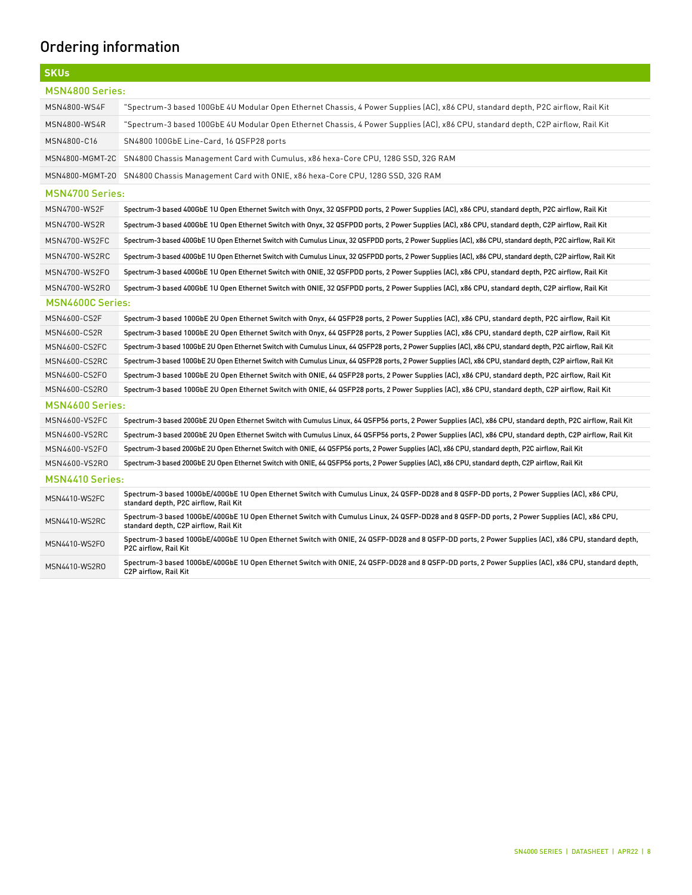# Ordering information

| <b>SKUs</b>            |                                                                                                                                                                                       |  |  |
|------------------------|---------------------------------------------------------------------------------------------------------------------------------------------------------------------------------------|--|--|
| MSN4800 Series:        |                                                                                                                                                                                       |  |  |
| MSN4800-WS4F           | "Spectrum-3 based 100GbE 4U Modular Open Ethernet Chassis, 4 Power Supplies (AC), x86 CPU, standard depth, P2C airflow, Rail Kit                                                      |  |  |
| MSN4800-WS4R           | "Spectrum-3 based 100GbE 4U Modular Open Ethernet Chassis, 4 Power Supplies (AC), x86 CPU, standard depth, C2P airflow, Rail Kit                                                      |  |  |
| MSN4800-C16            | SN4800 100GbE Line-Card, 16 QSFP28 ports                                                                                                                                              |  |  |
| MSN4800-MGMT-2C        | SN4800 Chassis Management Card with Cumulus, x86 hexa-Core CPU, 128G SSD, 32G RAM                                                                                                     |  |  |
| MSN4800-MGMT-20        | SN4800 Chassis Management Card with ONIE, x86 hexa-Core CPU, 128G SSD, 32G RAM                                                                                                        |  |  |
| <b>MSN4700 Series:</b> |                                                                                                                                                                                       |  |  |
| MSN4700-WS2F           | Spectrum-3 based 400GbE 1U Open Ethernet Switch with Onyx, 32 QSFPDD ports, 2 Power Supplies (AC), x86 CPU, standard depth, P2C airflow, Rail Kit                                     |  |  |
| MSN4700-WS2R           | Spectrum-3 based 400GbE 1U Open Ethernet Switch with Onyx, 32 QSFPDD ports, 2 Power Supplies (AC), x86 CPU, standard depth, C2P airflow, Rail Kit                                     |  |  |
| MSN4700-WS2FC          | Spectrum-3 based 400GbE 1U Open Ethernet Switch with Cumulus Linux, 32 QSFPDD ports, 2 Power Supplies (AC), x86 CPU, standard depth, P2C airflow, Rail Kit                            |  |  |
| MSN4700-WS2RC          | Spectrum-3 based 400GbE 1U Open Ethernet Switch with Cumulus Linux, 32 QSFPDD ports, 2 Power Supplies (AC), x86 CPU, standard depth, C2P airflow, Rail Kit                            |  |  |
| MSN4700-WS2F0          | Spectrum-3 based 400GbE 1U Open Ethernet Switch with ONIE, 32 QSFPDD ports, 2 Power Supplies (AC), x86 CPU, standard depth, P2C airflow, Rail Kit                                     |  |  |
| MSN4700-WS2R0          | Spectrum-3 based 400GbE 1U Open Ethernet Switch with ONIE, 32 QSFPDD ports, 2 Power Supplies (AC), x86 CPU, standard depth, C2P airflow, Rail Kit                                     |  |  |
| MSN4600C Series:       |                                                                                                                                                                                       |  |  |
| MSN4600-CS2F           | Spectrum-3 based 100GbE 2U Open Ethernet Switch with Onyx, 64 QSFP28 ports, 2 Power Supplies (AC), x86 CPU, standard depth, P2C airflow, Rail Kit                                     |  |  |
| MSN4600-CS2R           | Spectrum-3 based 100GbE 2U Open Ethernet Switch with Onyx, 64 QSFP28 ports, 2 Power Supplies (AC), x86 CPU, standard depth, C2P airflow, Rail Kit                                     |  |  |
| MSN4600-CS2FC          | Spectrum-3 based 100GbE 2U Open Ethernet Switch with Cumulus Linux, 64 QSFP28 ports, 2 Power Supplies (AC), x86 CPU, standard depth, P2C airflow, Rail Kit                            |  |  |
| MSN4600-CS2RC          | Spectrum-3 based 100GbE 2U Open Ethernet Switch with Cumulus Linux, 64 QSFP28 ports, 2 Power Supplies (AC), x86 CPU, standard depth, C2P airflow, Rail Kit                            |  |  |
| MSN4600-CS2F0          | Spectrum-3 based 100GbE 2U Open Ethernet Switch with ONIE, 64 QSFP28 ports, 2 Power Supplies (AC), x86 CPU, standard depth, P2C airflow, Rail Kit                                     |  |  |
| MSN4600-CS2R0          | Spectrum-3 based 100GbE 2U Open Ethernet Switch with ONIE, 64 QSFP28 ports, 2 Power Supplies (AC), x86 CPU, standard depth, C2P airflow, Rail Kit                                     |  |  |
| <b>MSN4600 Series:</b> |                                                                                                                                                                                       |  |  |
| MSN4600-VS2FC          | Spectrum-3 based 200GbE 2U Open Ethernet Switch with Cumulus Linux, 64 QSFP56 ports, 2 Power Supplies (AC), x86 CPU, standard depth, P2C airflow, Rail Kit                            |  |  |
| MSN4600-VS2RC          | Spectrum-3 based 200GbE 2U Open Ethernet Switch with Cumulus Linux, 64 QSFP56 ports, 2 Power Supplies (AC), x86 CPU, standard depth, C2P airflow, Rail Kit                            |  |  |
| MSN4600-VS2F0          | Spectrum-3 based 200GbE 2U Open Ethernet Switch with ONIE, 64 QSFP56 ports, 2 Power Supplies (AC), x86 CPU, standard depth, P2C airflow, Rail Kit                                     |  |  |
| MSN4600-VS2RO          | Spectrum-3 based 200GbE 2U Open Ethernet Switch with ONIE, 64 QSFP56 ports, 2 Power Supplies (AC), x86 CPU, standard depth, C2P airflow, Rail Kit                                     |  |  |
| MSN4410 Series:        |                                                                                                                                                                                       |  |  |
| MSN4410-WS2FC          | Spectrum-3 based 100GbE/400GbE 1U Open Ethernet Switch with Cumulus Linux, 24 QSFP-DD28 and 8 QSFP-DD ports, 2 Power Supplies (AC), x86 CPU,<br>standard depth, P2C airflow, Rail Kit |  |  |
| MSN4410-WS2RC          | Spectrum-3 based 100GbE/400GbE 1U Open Ethernet Switch with Cumulus Linux, 24 QSFP-DD28 and 8 QSFP-DD ports, 2 Power Supplies (AC), x86 CPU,<br>standard depth, C2P airflow, Rail Kit |  |  |
| MSN4410-WS2F0          | Spectrum-3 based 100GbE/400GbE 1U Open Ethernet Switch with ONIE, 24 QSFP-DD28 and 8 QSFP-DD ports, 2 Power Supplies (AC), x86 CPU, standard depth,<br>P2C airflow, Rail Kit          |  |  |
| MSN4410-WS2RO          | Spectrum-3 based 100GbE/400GbE 1U Open Ethernet Switch with ONIE, 24 QSFP-DD28 and 8 QSFP-DD ports, 2 Power Supplies (AC), x86 CPU, standard depth,<br>C2P airflow, Rail Kit          |  |  |